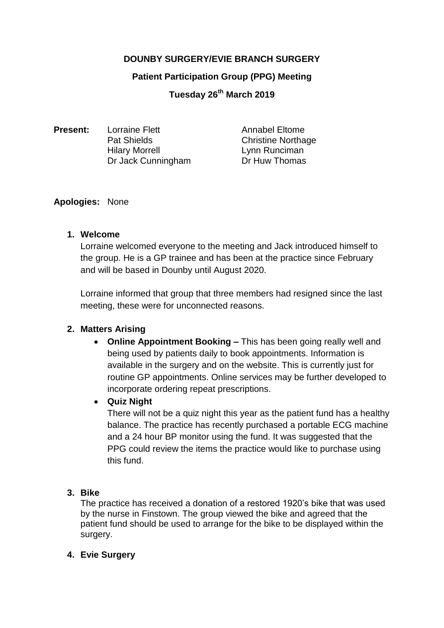# **DOUNBY SURGERY/EVIE BRANCH SURGERY**

#### **Patient Participation Group (PPG) Meeting**

**Tuesday 26th March 2019**

| <b>Present:</b> | <b>Lorraine Flett</b> | <b>Annabel Eltome</b>     |
|-----------------|-----------------------|---------------------------|
|                 | <b>Pat Shields</b>    | <b>Christine Northage</b> |
|                 | <b>Hilary Morrell</b> | Lynn Runciman             |
|                 | Dr Jack Cunningham    | Dr Huw Thomas             |
|                 |                       |                           |

#### **Apologies:** None

#### **1. Welcome**

Lorraine welcomed everyone to the meeting and Jack introduced himself to the group. He is a GP trainee and has been at the practice since February and will be based in Dounby until August 2020.

Lorraine informed that group that three members had resigned since the last meeting, these were for unconnected reasons.

#### **2. Matters Arising**

 **Online Appointment Booking –** This has been going really well and being used by patients daily to book appointments. Information is available in the surgery and on the website. This is currently just for routine GP appointments. Online services may be further developed to incorporate ordering repeat prescriptions.

## **Quiz Night**

There will not be a quiz night this year as the patient fund has a healthy balance. The practice has recently purchased a portable ECG machine and a 24 hour BP monitor using the fund. It was suggested that the PPG could review the items the practice would like to purchase using this fund.

## **3. Bike**

The practice has received a donation of a restored 1920's bike that was used by the nurse in Finstown. The group viewed the bike and agreed that the patient fund should be used to arrange for the bike to be displayed within the surgery.

## **4. Evie Surgery**